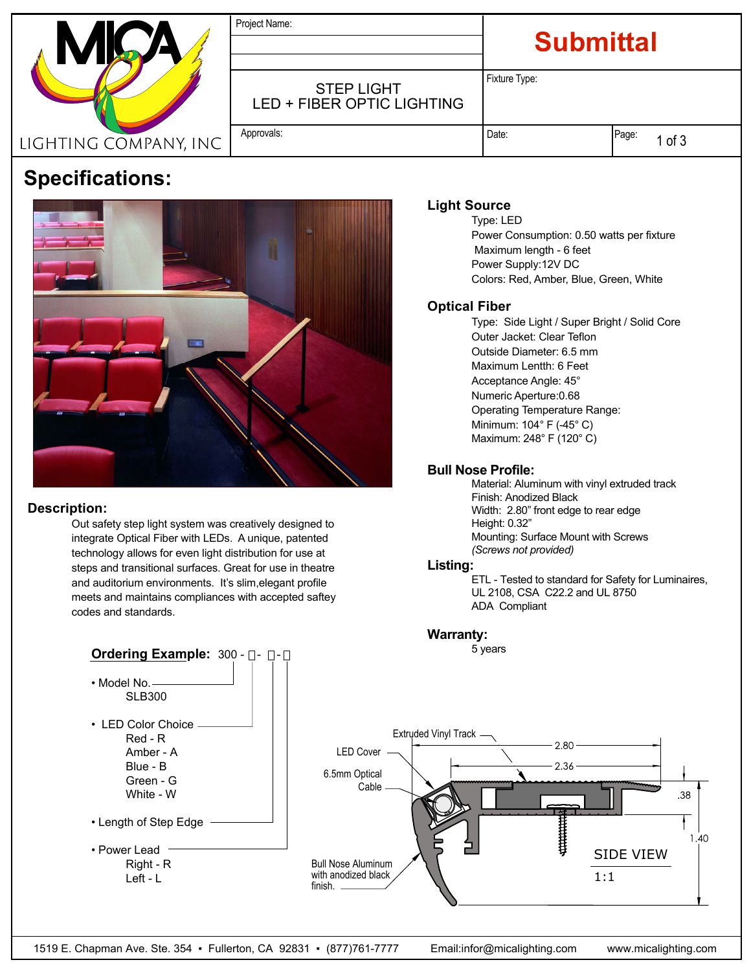|                       | Project Name:                                   | <b>Submittal</b> |               |
|-----------------------|-------------------------------------------------|------------------|---------------|
|                       | <b>STEP LIGHT</b><br>LED + FIBER OPTIC LIGHTING | Fixture Type:    |               |
| LIGHTING COMPANY, INC | Approvals:                                      | Date:            | Page:<br>of 3 |

# **Specifications:**



#### **Description:**

 Out safety step light system was creatively designed to integrate Optical Fiber with LEDs. A unique, patented technology allows for even light distribution for use at steps and transitional surfaces. Great for use in theatre and auditorium environments. It's slim,elegant profile meets and maintains compliances with accepted saftey codes and standards.

## **Light Source**

 Type: LED Power Consumption: 0.50 watts per fixture Maximum length - 6 feet Power Supply:12V DC Colors: Red, Amber, Blue, Green, White

### **Optical Fiber**

 Type: Side Light / Super Bright / Solid Core Outer Jacket: Clear Teflon Outside Diameter: 6.5 mm Maximum Lentth: 6 Feet Acceptance Angle: 45° Numeric Aperture:0.68 Operating Temperature Range: Minimum: 104° F (-45° C) Maximum: 248° F (120° C)

### **Bull Nose Profile:**

 Material: Aluminum with vinyl extruded track Finish: Anodized Black Width: 2.80" front edge to rear edge Height: 0.32" Mounting: Surface Mount with Screws  *(Screws not provided)*

#### **Listing:**

 ETL - Tested to standard for Safety for Luminaires, UL 2108, CSA C22.2 and UL 8750 ADA Compliant

# **Warranty:**<br>5 years

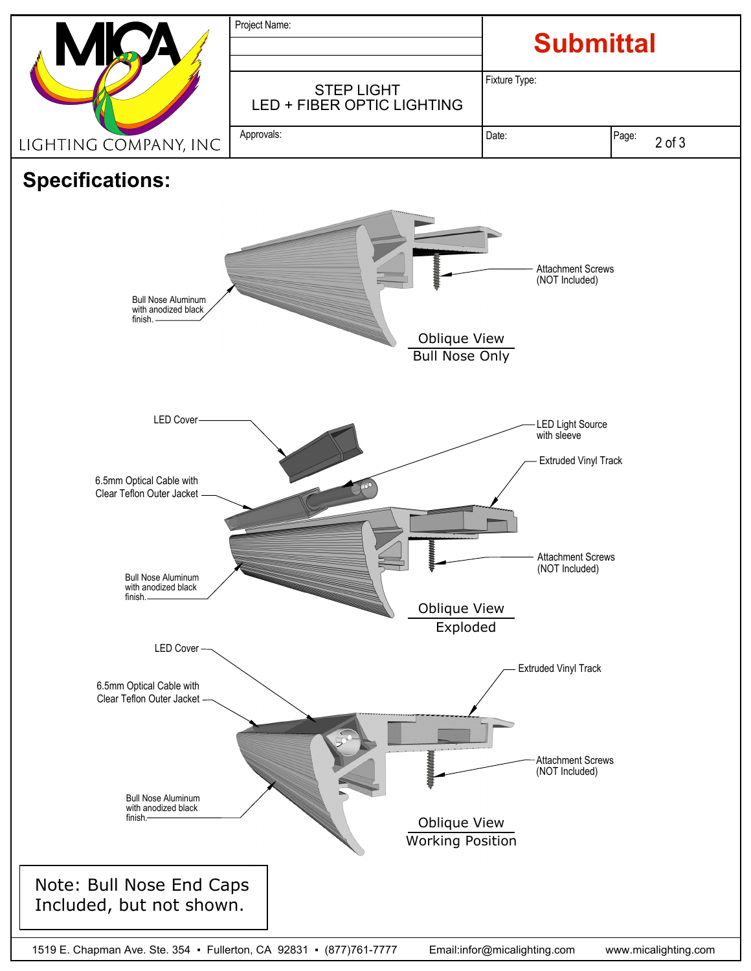